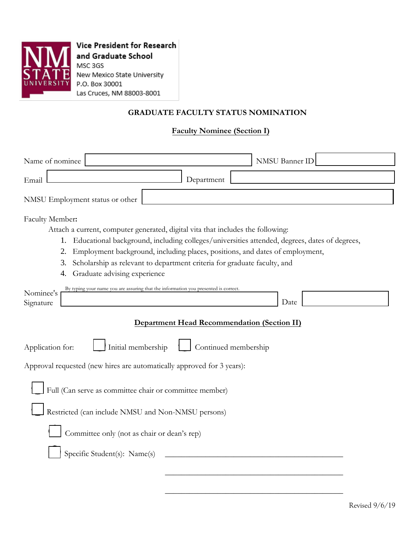

**Vice President for Research** and Graduate School MSC 3GS New Mexico State University P.O. Box 30001 Las Cruces, NM 88003-8001

## **GRADUATE FACULTY STATUS NOMINATION**

## **Faculty Nominee (Section I)**

| Name of nominee                                                                            |                                                                                                                                                                                                                                                                                                                                                                                |                                                    | <b>NMSU Banner ID</b> |  |
|--------------------------------------------------------------------------------------------|--------------------------------------------------------------------------------------------------------------------------------------------------------------------------------------------------------------------------------------------------------------------------------------------------------------------------------------------------------------------------------|----------------------------------------------------|-----------------------|--|
| Email                                                                                      |                                                                                                                                                                                                                                                                                                                                                                                | Department                                         |                       |  |
| NMSU Employment status or other                                                            |                                                                                                                                                                                                                                                                                                                                                                                |                                                    |                       |  |
| Faculty Member:<br>2.<br>3.<br>4.                                                          | Attach a current, computer generated, digital vita that includes the following:<br>1. Educational background, including colleges/universities attended, degrees, dates of degrees,<br>Employment background, including places, positions, and dates of employment,<br>Scholarship as relevant to department criteria for graduate faculty, and<br>Graduate advising experience |                                                    |                       |  |
| Nominee's<br>Signature                                                                     | By typing your name you are assuring that the information you presented is correct.                                                                                                                                                                                                                                                                                            | <b>Department Head Recommendation (Section II)</b> | Date                  |  |
| Application for:<br>Approval requested (new hires are automatically approved for 3 years): | Initial membership<br>Full (Can serve as committee chair or committee member)<br>Restricted (can include NMSU and Non-NMSU persons)<br>Committee only (not as chair or dean's rep)<br>Specific Student(s): Name(s)                                                                                                                                                             | Continued membership                               |                       |  |
|                                                                                            |                                                                                                                                                                                                                                                                                                                                                                                |                                                    |                       |  |

\_\_\_\_\_\_\_\_\_\_\_\_\_\_\_\_\_\_\_\_\_\_\_\_\_\_\_\_\_\_\_\_\_\_\_\_\_\_\_\_\_\_\_\_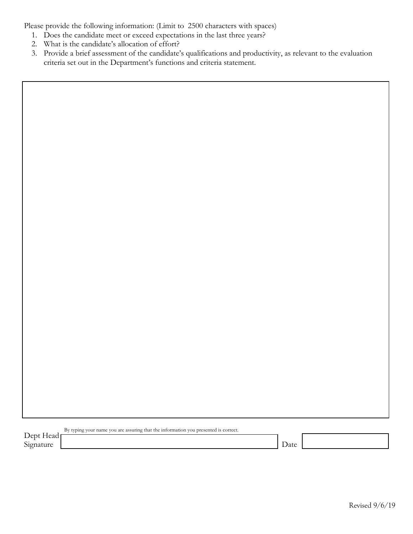Please provide the following information: (Limit to 2500 characters with spaces)

- 1. Does the candidate meet or exceed expectations in the last three years?
- 2. What is the candidate's allocation of effort?
- 3. Provide a brief assessment of the candidate's qualifications and productivity, as relevant to the evaluation criteria set out in the Department's functions and criteria statement.

| $\overline{\phantom{a}}$        | as a capture and compared to be the thoughting there are incontribution to be presented to extract to |  |
|---------------------------------|-------------------------------------------------------------------------------------------------------|--|
| 10 <sup>4</sup><br>-lead<br>້ີ້ |                                                                                                       |  |
| $\sim$                          |                                                                                                       |  |
| Signature                       |                                                                                                       |  |

By typing your name you are assuring that the information you presented is correct.